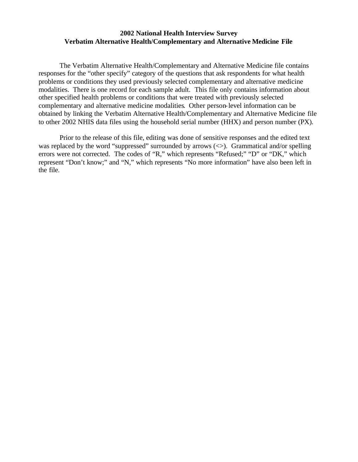## **2002 National Health Interview Survey Verbatim Alternative Health/Complementary and Alternative Medicine File**

The Verbatim Alternative Health/Complementary and Alternative Medicine file contains responses for the "other specify" category of the questions that ask respondents for what health problems or conditions they used previously selected complementary and alternative medicine modalities. There is one record for each sample adult. This file only contains information about other specified health problems or conditions that were treated with previously selected complementary and alternative medicine modalities. Other person-level information can be obtained by linking the Verbatim Alternative Health/Complementary and Alternative Medicine file to other 2002 NHIS data files using the household serial number (HHX) and person number (PX).

Prior to the release of this file, editing was done of sensitive responses and the edited text was replaced by the word "suppressed" surrounded by arrows  $(\le)$ . Grammatical and/or spelling errors were not corrected. The codes of "R," which represents "Refused;" "D" or "DK," which represent "Don't know;" and "N," which represents "No more information" have also been left in the file.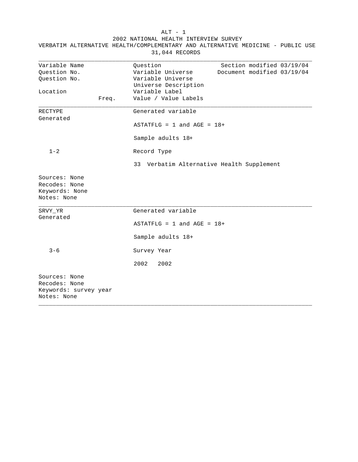|                                                                        | 31,044 RECORDS                                                                                                                        |
|------------------------------------------------------------------------|---------------------------------------------------------------------------------------------------------------------------------------|
| Variable Name<br>Question No.<br>Question No.                          | Question<br>Section modified 03/19/04<br>Variable Universe<br>Document modified 03/19/04<br>Variable Universe<br>Universe Description |
| Location<br>Freq.                                                      | Variable Label<br>Value / Value Labels                                                                                                |
| RECTYPE<br>Generated                                                   | Generated variable<br>$ASTATFLG = 1$ and $AGE = 18+$<br>Sample adults 18+                                                             |
| $1 - 2$                                                                | Record Type<br>33 Verbatim Alternative Health Supplement                                                                              |
| Sources: None<br>Recodes: None<br>Keywords: None<br>Notes: None        |                                                                                                                                       |
| SRVY YR<br>Generated                                                   | Generated variable<br>$ASTATFLG = 1$ and $AGE = 18+$<br>Sample adults 18+                                                             |
| $3 - 6$                                                                | Survey Year<br>2002<br>2002                                                                                                           |
| Sources: None<br>Recodes: None<br>Keywords: survey year<br>Notes: None |                                                                                                                                       |

\_\_\_\_\_\_\_\_\_\_\_\_\_\_\_\_\_\_\_\_\_\_\_\_\_\_\_\_\_\_\_\_\_\_\_\_\_\_\_\_\_\_\_\_\_\_\_\_\_\_\_\_\_\_\_\_\_\_\_\_\_\_\_\_\_\_\_\_\_\_\_\_\_\_\_\_\_\_

ALT - 1 2002 NATIONAL HEALTH INTERVIEW SURVEY VERBATIM ALTERNATIVE HEALTH/COMPLEMENTARY AND ALTERNATIVE MEDICINE - PUBLIC USE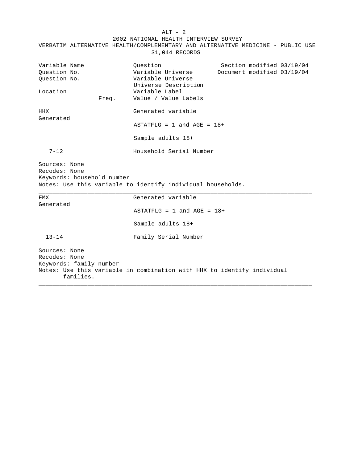| VERBATIM ALTERNATIVE HEALTH/COMPLEMENTARY AND ALTERNATIVE MEDICINE - PUBLIC USE<br>31,044 RECORDS                           |                                |                            |
|-----------------------------------------------------------------------------------------------------------------------------|--------------------------------|----------------------------|
| Variable Name                                                                                                               | Ouestion                       | Section modified 03/19/04  |
| Question No.                                                                                                                | Variable Universe              | Document modified 03/19/04 |
| Ouestion No.                                                                                                                | Variable Universe              |                            |
|                                                                                                                             | Universe Description           |                            |
| Location                                                                                                                    | Variable Label                 |                            |
| Freq.                                                                                                                       | Value / Value Labels           |                            |
| <b>HHX</b>                                                                                                                  | Generated variable             |                            |
| Generated                                                                                                                   |                                |                            |
|                                                                                                                             | $ASTATFLG = 1$ and $AGE = 18+$ |                            |
|                                                                                                                             | Sample adults 18+              |                            |
| $7 - 12$                                                                                                                    | Household Serial Number        |                            |
| Sources: None<br>Recodes: None<br>Keywords: household number<br>Notes: Use this variable to identify individual households. |                                |                            |
| <b>FMX</b>                                                                                                                  | Generated variable             |                            |
| Generated                                                                                                                   | $ASTATFLG = 1$ and $AGE = 18+$ |                            |
|                                                                                                                             | Sample adults 18+              |                            |
| $13 - 14$                                                                                                                   | Family Serial Number           |                            |
| Sources: None<br>Recodes: None<br>Keywords: family number                                                                   |                                |                            |

Notes: Use this variable in combination with HHX to identify individual

\_\_\_\_\_\_\_\_\_\_\_\_\_\_\_\_\_\_\_\_\_\_\_\_\_\_\_\_\_\_\_\_\_\_\_\_\_\_\_\_\_\_\_\_\_\_\_\_\_\_\_\_\_\_\_\_\_\_\_\_\_\_\_\_\_\_\_\_\_\_\_\_\_\_\_\_\_\_

families.

## $ALT - 2$ 2002 NATIONAL HEALTH INTERVIEW SURVEY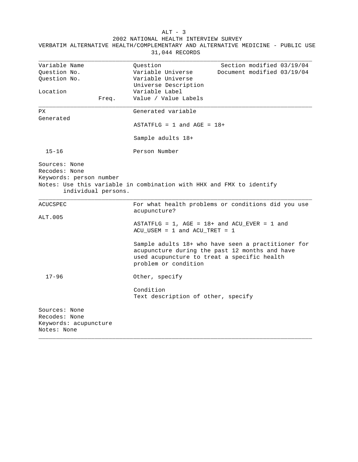VERBATIM ALTERNATIVE HEALTH/COMPLEMENTARY AND ALTERNATIVE MEDICINE - PUBLIC USE 31,044 RECORDS \_\_\_\_\_\_\_\_\_\_\_\_\_\_\_\_\_\_\_\_\_\_\_\_\_\_\_\_\_\_\_\_\_\_\_\_\_\_\_\_\_\_\_\_\_\_\_\_\_\_\_\_\_\_\_\_\_\_\_\_\_\_\_\_\_\_\_\_\_\_\_\_\_\_\_\_\_\_ Variable Name  $Question$  Question Section modified  $03/19/04$ Question No. Variable Universe Document modified 03/19/04 Question No. Variable Universe Universe Description Location Variable Label Freq. Value / Value Labels \_\_\_\_\_\_\_\_\_\_\_\_\_\_\_\_\_\_\_\_\_\_\_\_\_\_\_\_\_\_\_\_\_\_\_\_\_\_\_\_\_\_\_\_\_\_\_\_\_\_\_\_\_\_\_\_\_\_\_\_\_\_\_\_\_\_\_\_\_\_\_\_\_\_\_\_\_\_ PX Generated variable Generated  $ASTATFLG = 1 and AGE = 18+$ Sample adults 18+ 15-16 Person Number Sources: None Recodes: None Keywords: person number Notes: Use this variable in combination with HHX and FMX to identify individual persons. \_\_\_\_\_\_\_\_\_\_\_\_\_\_\_\_\_\_\_\_\_\_\_\_\_\_\_\_\_\_\_\_\_\_\_\_\_\_\_\_\_\_\_\_\_\_\_\_\_\_\_\_\_\_\_\_\_\_\_\_\_\_\_\_\_\_\_\_\_\_\_\_\_\_\_\_\_\_ ACUCSPEC For what health problems or conditions did you use acupuncture? ALT.005 ASTATFLG =  $1$ , AGE =  $18+$  and ACU\_EVER =  $1$  and ACU\_USEM = 1 and ACU\_TRET = 1 Sample adults 18+ who have seen a practitioner for acupuncture during the past 12 months and have used acupuncture to treat a specific health problem or condition 17-96 Other, specify Condition Text description of other, specify Sources: None Recodes: None Keywords: acupuncture Notes: None \_\_\_\_\_\_\_\_\_\_\_\_\_\_\_\_\_\_\_\_\_\_\_\_\_\_\_\_\_\_\_\_\_\_\_\_\_\_\_\_\_\_\_\_\_\_\_\_\_\_\_\_\_\_\_\_\_\_\_\_\_\_\_\_\_\_\_\_\_\_\_\_\_\_\_\_\_\_

 $ALT - 3$ 2002 NATIONAL HEALTH INTERVIEW SURVEY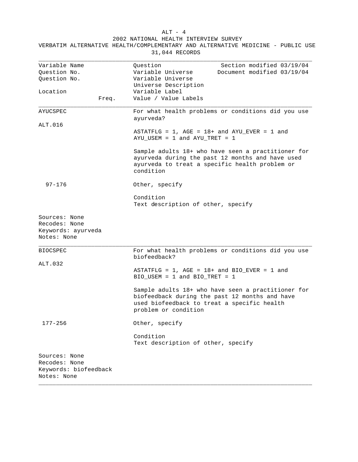31,044 RECORDS \_\_\_\_\_\_\_\_\_\_\_\_\_\_\_\_\_\_\_\_\_\_\_\_\_\_\_\_\_\_\_\_\_\_\_\_\_\_\_\_\_\_\_\_\_\_\_\_\_\_\_\_\_\_\_\_\_\_\_\_\_\_\_\_\_\_\_\_\_\_\_\_\_\_\_\_\_\_ Variable Name  $Question$  Question Section modified  $03/19/04$ Question No. Variable Universe Document modified 03/19/04 Question No. Variable Universe Universe Description Location Variable Label Freq. Value / Value Labels \_\_\_\_\_\_\_\_\_\_\_\_\_\_\_\_\_\_\_\_\_\_\_\_\_\_\_\_\_\_\_\_\_\_\_\_\_\_\_\_\_\_\_\_\_\_\_\_\_\_\_\_\_\_\_\_\_\_\_\_\_\_\_\_\_\_\_\_\_\_\_\_\_\_\_\_\_\_ AYUCSPEC For what health problems or conditions did you use ayurveda? ALT.016 ASTATFLG =  $1$ , AGE =  $18+$  and AYU\_EVER =  $1$  and AYU\_USEM = 1 and AYU\_TRET = 1 Sample adults 18+ who have seen a practitioner for ayurveda during the past 12 months and have used ayurveda to treat a specific health problem or condition 97-176 Other, specify Condition Text description of other, specify Sources: None Recodes: None Keywords: ayurveda Notes: None \_\_\_\_\_\_\_\_\_\_\_\_\_\_\_\_\_\_\_\_\_\_\_\_\_\_\_\_\_\_\_\_\_\_\_\_\_\_\_\_\_\_\_\_\_\_\_\_\_\_\_\_\_\_\_\_\_\_\_\_\_\_\_\_\_\_\_\_\_\_\_\_\_\_\_\_\_\_ BIOCSPEC For what health problems or conditions did you use biofeedback? ALT.032 ASTATFLG =  $1$ , AGE =  $18+$  and BIO\_EVER =  $1$  and BIO USEM = 1 and BIO TRET =  $1$ Sample adults 18+ who have seen a practitioner for biofeedback during the past 12 months and have used biofeedback to treat a specific health problem or condition 177-256 Other, specify Condition Text description of other, specify Sources: None Recodes: None Keywords: biofeedback Notes: None

\_\_\_\_\_\_\_\_\_\_\_\_\_\_\_\_\_\_\_\_\_\_\_\_\_\_\_\_\_\_\_\_\_\_\_\_\_\_\_\_\_\_\_\_\_\_\_\_\_\_\_\_\_\_\_\_\_\_\_\_\_\_\_\_\_\_\_\_\_\_\_\_\_\_\_\_\_\_

 $ALT - 4$ 2002 NATIONAL HEALTH INTERVIEW SURVEY

VERBATIM ALTERNATIVE HEALTH/COMPLEMENTARY AND ALTERNATIVE MEDICINE - PUBLIC USE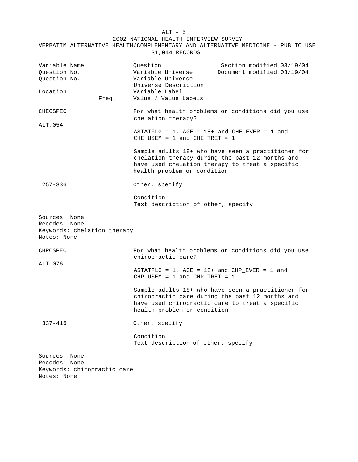31,044 RECORDS \_\_\_\_\_\_\_\_\_\_\_\_\_\_\_\_\_\_\_\_\_\_\_\_\_\_\_\_\_\_\_\_\_\_\_\_\_\_\_\_\_\_\_\_\_\_\_\_\_\_\_\_\_\_\_\_\_\_\_\_\_\_\_\_\_\_\_\_\_\_\_\_\_\_\_\_\_\_ Variable Name  $\qquad \qquad \text{Question} \qquad \qquad \text{Section} \qquad \text{Method} \qquad 03/19/04$ Question No. Variable Universe Document modified 03/19/04 Question No. Variable Universe Universe Description Location Variable Label Freq. Value / Value Labels \_\_\_\_\_\_\_\_\_\_\_\_\_\_\_\_\_\_\_\_\_\_\_\_\_\_\_\_\_\_\_\_\_\_\_\_\_\_\_\_\_\_\_\_\_\_\_\_\_\_\_\_\_\_\_\_\_\_\_\_\_\_\_\_\_\_\_\_\_\_\_\_\_\_\_\_\_\_ CHECSPEC For what health problems or conditions did you use chelation therapy? ALT.054 ASTATFLG =  $1$ , AGE =  $18+$  and CHE\_EVER =  $1$  and CHE\_USEM = 1 and CHE\_TRET = 1 Sample adults 18+ who have seen a practitioner for chelation therapy during the past 12 months and have used chelation therapy to treat a specific health problem or condition 257-336 Other, specify Condition Text description of other, specify Sources: None Recodes: None Keywords: chelation therapy Notes: None \_\_\_\_\_\_\_\_\_\_\_\_\_\_\_\_\_\_\_\_\_\_\_\_\_\_\_\_\_\_\_\_\_\_\_\_\_\_\_\_\_\_\_\_\_\_\_\_\_\_\_\_\_\_\_\_\_\_\_\_\_\_\_\_\_\_\_\_\_\_\_\_\_\_\_\_\_\_ CHPCSPEC For what health problems or conditions did you use chiropractic care? ALT.076 ASTATFLG =  $1$ , AGE =  $18+$  and CHP\_EVER =  $1$  and CHP USEM = 1 and CHP TRET =  $1$ Sample adults 18+ who have seen a practitioner for chiropractic care during the past 12 months and have used chiropractic care to treat a specific health problem or condition 337-416 Other, specify Condition Text description of other, specify Sources: None Recodes: None Keywords: chiropractic care Notes: None

\_\_\_\_\_\_\_\_\_\_\_\_\_\_\_\_\_\_\_\_\_\_\_\_\_\_\_\_\_\_\_\_\_\_\_\_\_\_\_\_\_\_\_\_\_\_\_\_\_\_\_\_\_\_\_\_\_\_\_\_\_\_\_\_\_\_\_\_\_\_\_\_\_\_\_\_\_\_

 ALT - 5 2002 NATIONAL HEALTH INTERVIEW SURVEY

VERBATIM ALTERNATIVE HEALTH/COMPLEMENTARY AND ALTERNATIVE MEDICINE - PUBLIC USE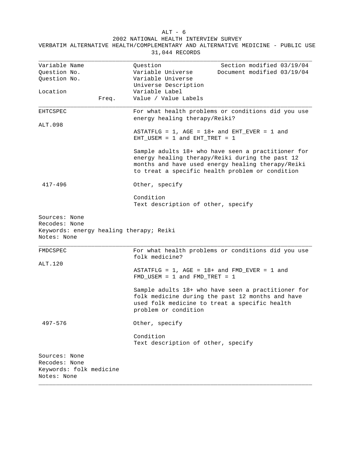31,044 RECORDS \_\_\_\_\_\_\_\_\_\_\_\_\_\_\_\_\_\_\_\_\_\_\_\_\_\_\_\_\_\_\_\_\_\_\_\_\_\_\_\_\_\_\_\_\_\_\_\_\_\_\_\_\_\_\_\_\_\_\_\_\_\_\_\_\_\_\_\_\_\_\_\_\_\_\_\_\_\_ Variable Name  $\qquad \qquad \text{Question} \qquad \qquad \text{Section} \qquad \text{Method} \qquad 03/19/04$ Question No. Variable Universe Document modified 03/19/04 Question No. Variable Universe Universe Description Location Variable Label Freq. Value / Value Labels \_\_\_\_\_\_\_\_\_\_\_\_\_\_\_\_\_\_\_\_\_\_\_\_\_\_\_\_\_\_\_\_\_\_\_\_\_\_\_\_\_\_\_\_\_\_\_\_\_\_\_\_\_\_\_\_\_\_\_\_\_\_\_\_\_\_\_\_\_\_\_\_\_\_\_\_\_\_ EHTCSPEC For what health problems or conditions did you use energy healing therapy/Reiki? ALT.098 ASTATFLG =  $1$ , AGE =  $18+$  and EHT\_EVER =  $1$  and EHT\_USEM = 1 and EHT\_TRET = 1 Sample adults 18+ who have seen a practitioner for energy healing therapy/Reiki during the past 12 months and have used energy healing therapy/Reiki to treat a specific health problem or condition 417-496 Other, specify Condition Text description of other, specify Sources: None Recodes: None Keywords: energy healing therapy; Reiki Notes: None \_\_\_\_\_\_\_\_\_\_\_\_\_\_\_\_\_\_\_\_\_\_\_\_\_\_\_\_\_\_\_\_\_\_\_\_\_\_\_\_\_\_\_\_\_\_\_\_\_\_\_\_\_\_\_\_\_\_\_\_\_\_\_\_\_\_\_\_\_\_\_\_\_\_\_\_\_\_ FMDCSPEC FOR For what health problems or conditions did you use folk medicine? ALT.120 ASTATFLG =  $1$ , AGE =  $18+$  and FMD\_EVER =  $1$  and  $FMD$  USEM = 1 and  $FMD$  TRET = 1 Sample adults 18+ who have seen a practitioner for folk medicine during the past 12 months and have used folk medicine to treat a specific health problem or condition 497-576 Other, specify Condition Text description of other, specify

\_\_\_\_\_\_\_\_\_\_\_\_\_\_\_\_\_\_\_\_\_\_\_\_\_\_\_\_\_\_\_\_\_\_\_\_\_\_\_\_\_\_\_\_\_\_\_\_\_\_\_\_\_\_\_\_\_\_\_\_\_\_\_\_\_\_\_\_\_\_\_\_\_\_\_\_\_\_

Sources: None Recodes: None Keywords: folk medicine Notes: None

 ALT - 6 2002 NATIONAL HEALTH INTERVIEW SURVEY VERBATIM ALTERNATIVE HEALTH/COMPLEMENTARY AND ALTERNATIVE MEDICINE - PUBLIC USE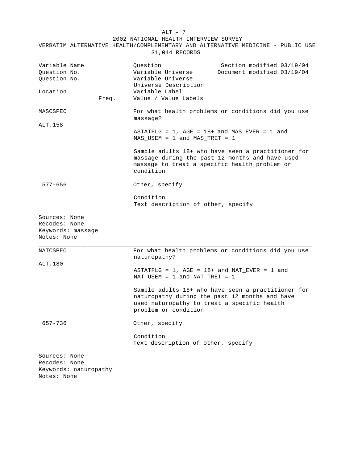31,044 RECORDS \_\_\_\_\_\_\_\_\_\_\_\_\_\_\_\_\_\_\_\_\_\_\_\_\_\_\_\_\_\_\_\_\_\_\_\_\_\_\_\_\_\_\_\_\_\_\_\_\_\_\_\_\_\_\_\_\_\_\_\_\_\_\_\_\_\_\_\_\_\_\_\_\_\_\_\_\_\_ Variable Name  $Question$  Question Section modified  $03/19/04$ Question No. Variable Universe Document modified 03/19/04 Question No. Variable Universe Universe Description Location Variable Label Freq. Value / Value Labels \_\_\_\_\_\_\_\_\_\_\_\_\_\_\_\_\_\_\_\_\_\_\_\_\_\_\_\_\_\_\_\_\_\_\_\_\_\_\_\_\_\_\_\_\_\_\_\_\_\_\_\_\_\_\_\_\_\_\_\_\_\_\_\_\_\_\_\_\_\_\_\_\_\_\_\_\_\_ MASCSPEC For what health problems or conditions did you use massage? ALT.158 ASTATFLG =  $1$ , AGE =  $18+$  and MAS\_EVER =  $1$  and MAS\_USEM = 1 and MAS\_TRET = 1 Sample adults 18+ who have seen a practitioner for massage during the past 12 months and have used massage to treat a specific health problem or condition 577-656 Other, specify Condition Text description of other, specify Sources: None Recodes: None Keywords: massage Notes: None \_\_\_\_\_\_\_\_\_\_\_\_\_\_\_\_\_\_\_\_\_\_\_\_\_\_\_\_\_\_\_\_\_\_\_\_\_\_\_\_\_\_\_\_\_\_\_\_\_\_\_\_\_\_\_\_\_\_\_\_\_\_\_\_\_\_\_\_\_\_\_\_\_\_\_\_\_\_ NATCSPEC For what health problems or conditions did you use naturopathy? ALT.180 ASTATFLG =  $1$ , AGE =  $18+$  and NAT EVER = 1 and NAT USEM = 1 and NAT TRET =  $1$ Sample adults 18+ who have seen a practitioner for naturopathy during the past 12 months and have used naturopathy to treat a specific health problem or condition 657-736 Other, specify Condition Text description of other, specify Sources: None Recodes: None Keywords: naturopathy Notes: None

\_\_\_\_\_\_\_\_\_\_\_\_\_\_\_\_\_\_\_\_\_\_\_\_\_\_\_\_\_\_\_\_\_\_\_\_\_\_\_\_\_\_\_\_\_\_\_\_\_\_\_\_\_\_\_\_\_\_\_\_\_\_\_\_\_\_\_\_\_\_\_\_\_\_\_\_\_\_

## ALT - 7 2002 NATIONAL HEALTH INTERVIEW SURVEY

VERBATIM ALTERNATIVE HEALTH/COMPLEMENTARY AND ALTERNATIVE MEDICINE - PUBLIC USE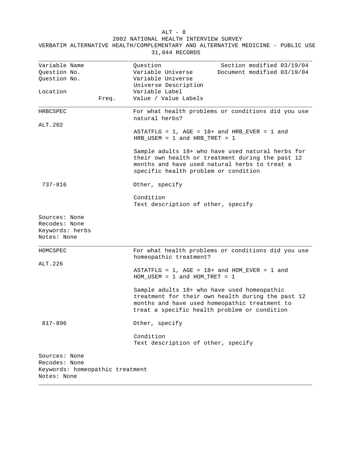2002 NATIONAL HEALTH INTERVIEW SURVEY

| Variable Name                                                    |  | Section modified 03/19/04<br>Question                                                            |
|------------------------------------------------------------------|--|--------------------------------------------------------------------------------------------------|
| Question No.                                                     |  | Variable Universe<br>Document modified 03/19/04                                                  |
| Question No.                                                     |  | Variable Universe                                                                                |
|                                                                  |  | Universe Description                                                                             |
| Location                                                         |  | Variable Label                                                                                   |
| Freq.                                                            |  | Value / Value Labels                                                                             |
|                                                                  |  |                                                                                                  |
| HRBCSPEC                                                         |  | For what health problems or conditions did you use                                               |
|                                                                  |  | natural herbs?                                                                                   |
| ALT.202                                                          |  |                                                                                                  |
|                                                                  |  | $ASTATFLG = 1$ , $AGE = 18+$ and $HRB_EVER = 1$ and                                              |
|                                                                  |  | HRB USEM = $1$ and HRB TRET = $1$                                                                |
|                                                                  |  | Sample adults 18+ who have used natural herbs for                                                |
|                                                                  |  | their own health or treatment during the past 12                                                 |
|                                                                  |  | months and have used natural herbs to treat a                                                    |
|                                                                  |  | specific health problem or condition                                                             |
| 737-816<br>Other, specify                                        |  |                                                                                                  |
|                                                                  |  | Condition                                                                                        |
|                                                                  |  | Text description of other, specify                                                               |
| Sources: None<br>Recodes: None<br>Keywords: herbs<br>Notes: None |  |                                                                                                  |
| HOMCSPEC                                                         |  | For what health problems or conditions did you use                                               |
|                                                                  |  | homeopathic treatment?                                                                           |
| ALT.226                                                          |  |                                                                                                  |
|                                                                  |  | ASTATFLG = $1$ , AGE = $18+$ and HOM_EVER = 1 and<br>$HOM_USEM = 1$ and $HOM_TRET = 1$           |
|                                                                  |  | Sample adults 18+ who have used homeopathic<br>treatment for their own health during the past 12 |
|                                                                  |  | months and have used homeopathic treatment to<br>treat a specific health problem or condition    |
| $817 - 896$                                                      |  | Other, specify                                                                                   |
|                                                                  |  | Condition                                                                                        |
|                                                                  |  | Text description of other, specify                                                               |
| Sources: None                                                    |  |                                                                                                  |
| Recodes: None                                                    |  |                                                                                                  |

\_\_\_\_\_\_\_\_\_\_\_\_\_\_\_\_\_\_\_\_\_\_\_\_\_\_\_\_\_\_\_\_\_\_\_\_\_\_\_\_\_\_\_\_\_\_\_\_\_\_\_\_\_\_\_\_\_\_\_\_\_\_\_\_\_\_\_\_\_\_\_\_\_\_\_\_\_\_

VERBATIM ALTERNATIVE HEALTH/COMPLEMENTARY AND ALTERNATIVE MEDICINE - PUBLIC USE 31,044 RECORDS

Keywords: homeopathic treatment Notes: None

ALT - 8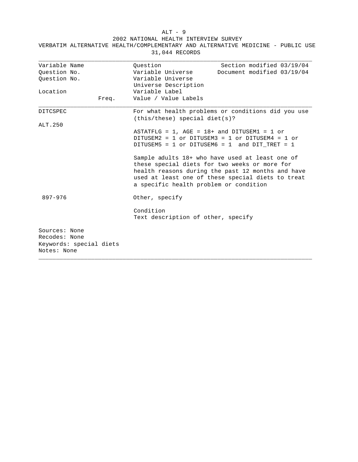ALT - 9 2002 NATIONAL HEALTH INTERVIEW SURVEY

| Variable Name                                                            | Question<br>Section modified 03/19/04                                                                                                                                                                                                                |
|--------------------------------------------------------------------------|------------------------------------------------------------------------------------------------------------------------------------------------------------------------------------------------------------------------------------------------------|
| Ouestion No.                                                             | Variable Universe<br>Document modified 03/19/04                                                                                                                                                                                                      |
| Ouestion No.                                                             | Variable Universe                                                                                                                                                                                                                                    |
|                                                                          | Universe Description                                                                                                                                                                                                                                 |
| Location                                                                 | Variable Label                                                                                                                                                                                                                                       |
| Freq.                                                                    | Value / Value Labels                                                                                                                                                                                                                                 |
| DITCSPEC                                                                 | For what health problems or conditions did you use<br>(this/these) special diet(s)?                                                                                                                                                                  |
| ALT.250                                                                  |                                                                                                                                                                                                                                                      |
|                                                                          | ASTATFLG = $1.$ AGE = $18+$ and DITUSEM1 = 1 or<br>DITUSEM2 = 1 or DITUSEM3 = 1 or DITUSEM4 = 1 or<br>DITUSEM5 = $1$ or DITUSEM6 = $1$ and DIT TRET = $1$                                                                                            |
|                                                                          | Sample adults 18+ who have used at least one of<br>these special diets for two weeks or more for<br>health reasons during the past 12 months and have<br>used at least one of these special diets to treat<br>a specific health problem or condition |
| 897-976                                                                  | Other, specify                                                                                                                                                                                                                                       |
|                                                                          | Condition<br>Text description of other, specify                                                                                                                                                                                                      |
| Sources: None<br>Recodes: None<br>Keywords: special diets<br>Notes: None |                                                                                                                                                                                                                                                      |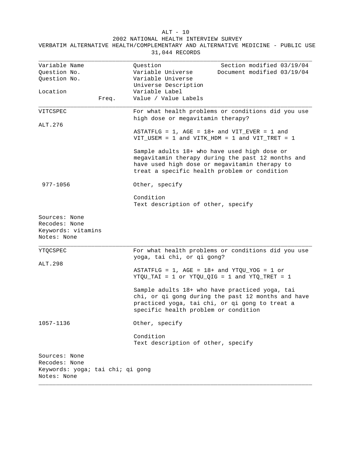ALT - 10 2002 NATIONAL HEALTH INTERVIEW SURVEY

| Variable Name                                                       | Ouestion<br>Section modified 03/19/04                                                                                                                                                              |  |
|---------------------------------------------------------------------|----------------------------------------------------------------------------------------------------------------------------------------------------------------------------------------------------|--|
| Ouestion No.                                                        | Variable Universe<br>Document modified 03/19/04                                                                                                                                                    |  |
| Question No.                                                        | Variable Universe                                                                                                                                                                                  |  |
|                                                                     | Universe Description                                                                                                                                                                               |  |
| Location                                                            | Variable Label                                                                                                                                                                                     |  |
| Freq.                                                               | Value / Value Labels                                                                                                                                                                               |  |
| VITCSPEC                                                            | For what health problems or conditions did you use<br>high dose or megavitamin therapy?                                                                                                            |  |
| ALT.276                                                             |                                                                                                                                                                                                    |  |
|                                                                     | ASTATFLG = $1$ , AGE = $18+$ and VIT_EVER = 1 and<br>$VIT_USEM = 1$ and $VITK_HDM = 1$ and $VIT_TRET = 1$                                                                                          |  |
|                                                                     | Sample adults 18+ who have used high dose or<br>megavitamin therapy during the past 12 months and<br>have used high dose or megavitamin therapy to<br>treat a specific health problem or condition |  |
| 977-1056                                                            | Other, specify                                                                                                                                                                                     |  |
|                                                                     | Condition<br>Text description of other, specify                                                                                                                                                    |  |
| Sources: None<br>Recodes: None<br>Keywords: vitamins<br>Notes: None |                                                                                                                                                                                                    |  |
| YTQCSPEC                                                            | For what health problems or conditions did you use<br>yoga, tai chi, or qi gong?                                                                                                                   |  |
| ALT.298                                                             |                                                                                                                                                                                                    |  |
|                                                                     | ASTATFLG = $1$ , AGE = $18+$ and YTQU_YOG = 1 or<br>$YTQU_TAI = 1$ or $YTQU_QIG = 1$ and $YTQ_TRET = 1$                                                                                            |  |
|                                                                     | Sample adults 18+ who have practiced yoga, tai<br>chi, or qi gong during the past 12 months and have<br>practiced yoga, tai chi, or qi gong to treat a<br>specific health problem or condition     |  |
| 1057-1136                                                           | Other, specify                                                                                                                                                                                     |  |
|                                                                     |                                                                                                                                                                                                    |  |

Condition

Text description of other, specify

\_\_\_\_\_\_\_\_\_\_\_\_\_\_\_\_\_\_\_\_\_\_\_\_\_\_\_\_\_\_\_\_\_\_\_\_\_\_\_\_\_\_\_\_\_\_\_\_\_\_\_\_\_\_\_\_\_\_\_\_\_\_\_\_\_\_\_\_\_\_\_\_\_\_\_\_\_\_

VERBATIM ALTERNATIVE HEALTH/COMPLEMENTARY AND ALTERNATIVE MEDICINE - PUBLIC USE 31,044 RECORDS

Sources: None Recodes: None Keywords: yoga; tai chi; qi gong Notes: None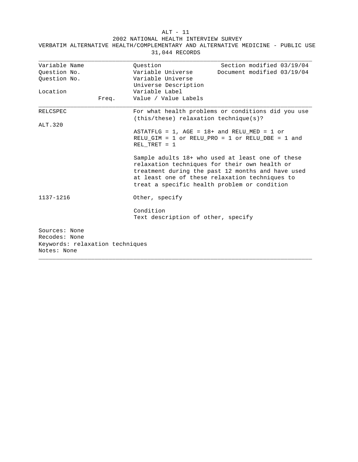ALT - 11

| 31,044 RECORDS                                                                   |                                                                            |                                                                                                                                                                                                                                                          |  |  |
|----------------------------------------------------------------------------------|----------------------------------------------------------------------------|----------------------------------------------------------------------------------------------------------------------------------------------------------------------------------------------------------------------------------------------------------|--|--|
| Variable Name<br>Ouestion No.<br>Question No.                                    | Ouestion<br>Variable Universe<br>Variable Universe<br>Universe Description | Section modified 03/19/04<br>Document modified 03/19/04                                                                                                                                                                                                  |  |  |
| Location<br>Freq.                                                                | Variable Label<br>Value / Value Labels                                     |                                                                                                                                                                                                                                                          |  |  |
| <b>RELCSPEC</b>                                                                  | $(this/these)$ relaxation technique $(s)$ ?                                | For what health problems or conditions did you use                                                                                                                                                                                                       |  |  |
| ALT.320                                                                          | REL TRET = $1$                                                             | ASTATFLG = $1$ , AGE = $18+$ and RELU MED = $1$ or<br>RELU_GIM = 1 or RELU_PRO = 1 or RELU_DBE = 1 and                                                                                                                                                   |  |  |
|                                                                                  |                                                                            | Sample adults 18+ who used at least one of these<br>relaxation techniques for their own health or<br>treatment during the past 12 months and have used<br>at least one of these relaxation techniques to<br>treat a specific health problem or condition |  |  |
| 1137-1216                                                                        | Other, specify                                                             |                                                                                                                                                                                                                                                          |  |  |
|                                                                                  | Condition<br>Text description of other, specify                            |                                                                                                                                                                                                                                                          |  |  |
| Sources: None<br>Recodes: None<br>Keywords: relaxation techniques<br>Notes: None |                                                                            |                                                                                                                                                                                                                                                          |  |  |

\_\_\_\_\_\_\_\_\_\_\_\_\_\_\_\_\_\_\_\_\_\_\_\_\_\_\_\_\_\_\_\_\_\_\_\_\_\_\_\_\_\_\_\_\_\_\_\_\_\_\_\_\_\_\_\_\_\_\_\_\_\_\_\_\_\_\_\_\_\_\_\_\_\_\_\_\_\_

2002 NATIONAL HEALTH INTERVIEW SURVEY VERBATIM ALTERNATIVE HEALTH/COMPLEMENTARY AND ALTERNATIVE MEDICINE - PUBLIC USE